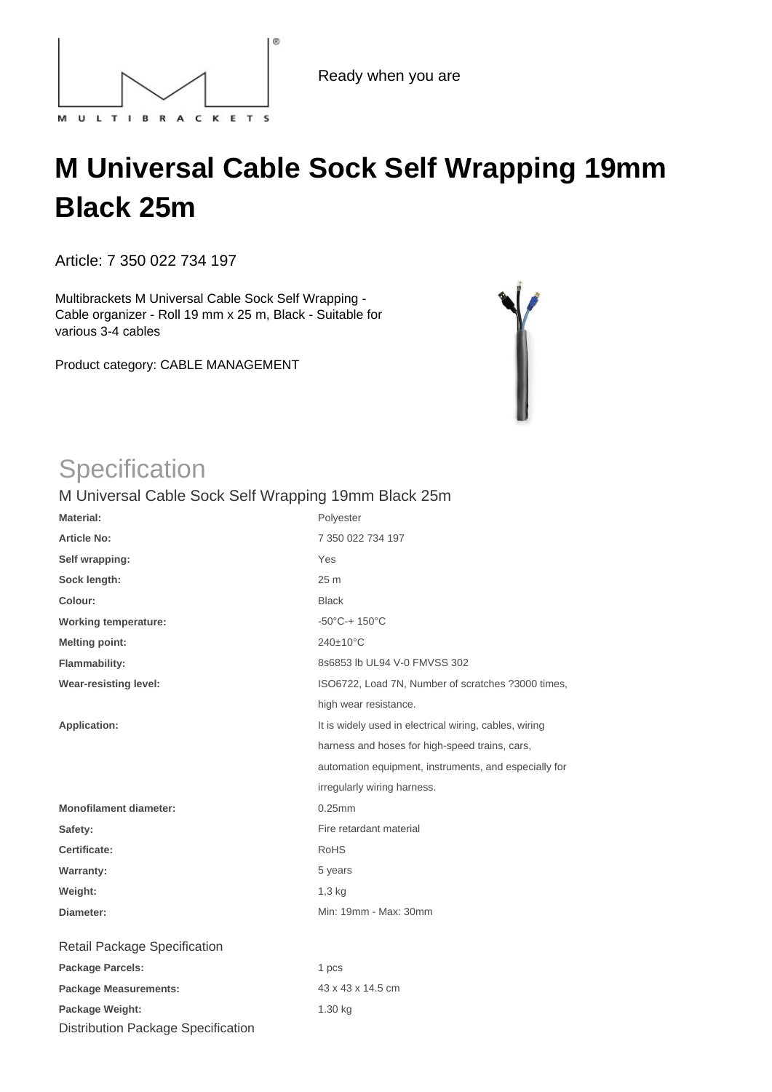

## **M Universal Cable Sock Self Wrapping 19mm Black 25m**

Article: 7 350 022 734 197

Multibrackets M Universal Cable Sock Self Wrapping - Cable organizer - Roll 19 mm x 25 m, Black - Suitable for various 3-4 cables

Product category: CABLE MANAGEMENT



## **Specification**

## M Universal Cable Sock Self Wrapping 19mm Black 25m

| <b>Material:</b>              | Polyester                                              |
|-------------------------------|--------------------------------------------------------|
| <b>Article No:</b>            | 7 350 022 734 197                                      |
| Self wrapping:                | Yes                                                    |
| Sock length:                  | 25 <sub>m</sub>                                        |
| Colour:                       | <b>Black</b>                                           |
| <b>Working temperature:</b>   | $-50^{\circ}$ C-+ 150 $^{\circ}$ C                     |
| <b>Melting point:</b>         | 240±10°C                                               |
| Flammability:                 | 8s6853 lb UL94 V-0 FMVSS 302                           |
| <b>Wear-resisting level:</b>  | ISO6722, Load 7N, Number of scratches ?3000 times,     |
|                               | high wear resistance.                                  |
| <b>Application:</b>           | It is widely used in electrical wiring, cables, wiring |
|                               | harness and hoses for high-speed trains, cars,         |
|                               | automation equipment, instruments, and especially for  |
|                               | irregularly wiring harness.                            |
| <b>Monofilament diameter:</b> | $0.25$ mm                                              |
| Safety:                       | Fire retardant material                                |
| Certificate:                  | <b>RoHS</b>                                            |
| <b>Warranty:</b>              | 5 years                                                |
| Weight:                       | $1,3$ kg                                               |
| Diameter:                     | Min: 19mm - Max: 30mm                                  |
| Retail Package Specification  |                                                        |
| <b>Package Parcels:</b>       | 1 pcs                                                  |
| <b>Package Measurements:</b>  | 43 x 43 x 14.5 cm                                      |
| $\cdots$                      | $\overline{1}$ 00 $\overline{1}$ $\overline{2}$        |

Package Weight: 1.30 kg Distribution Package Specification